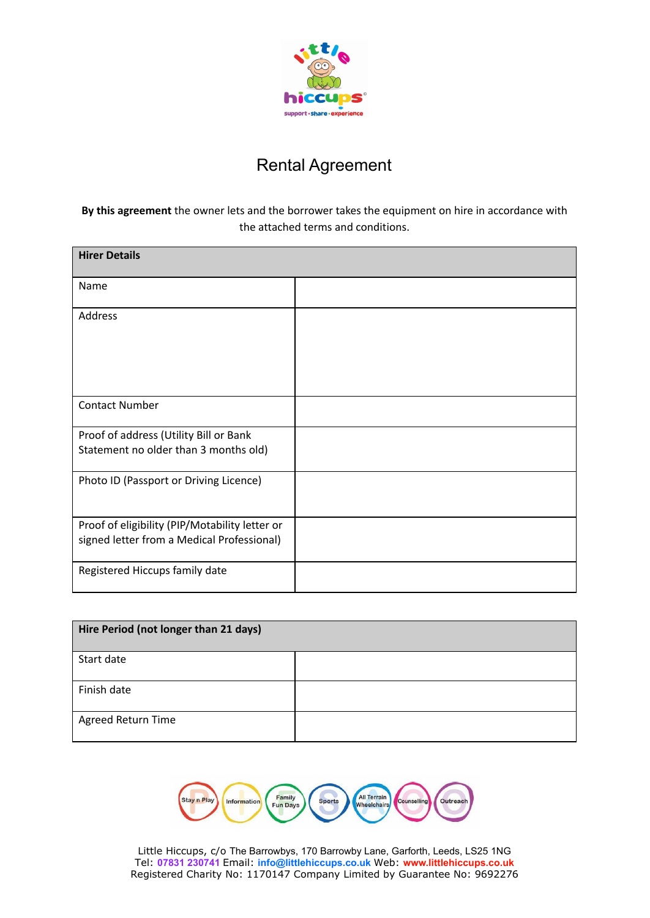

## Rental Agreement

## **By this agreement** the owner lets and the borrower takes the equipment on hire in accordance with the attached terms and conditions.

| <b>Hirer Details</b>                                                                         |  |
|----------------------------------------------------------------------------------------------|--|
| Name                                                                                         |  |
| Address                                                                                      |  |
| <b>Contact Number</b>                                                                        |  |
| Proof of address (Utility Bill or Bank<br>Statement no older than 3 months old)              |  |
| Photo ID (Passport or Driving Licence)                                                       |  |
| Proof of eligibility (PIP/Motability letter or<br>signed letter from a Medical Professional) |  |
| Registered Hiccups family date                                                               |  |

| Hire Period (not longer than 21 days) |  |  |
|---------------------------------------|--|--|
| Start date                            |  |  |
| Finish date                           |  |  |
| Agreed Return Time                    |  |  |

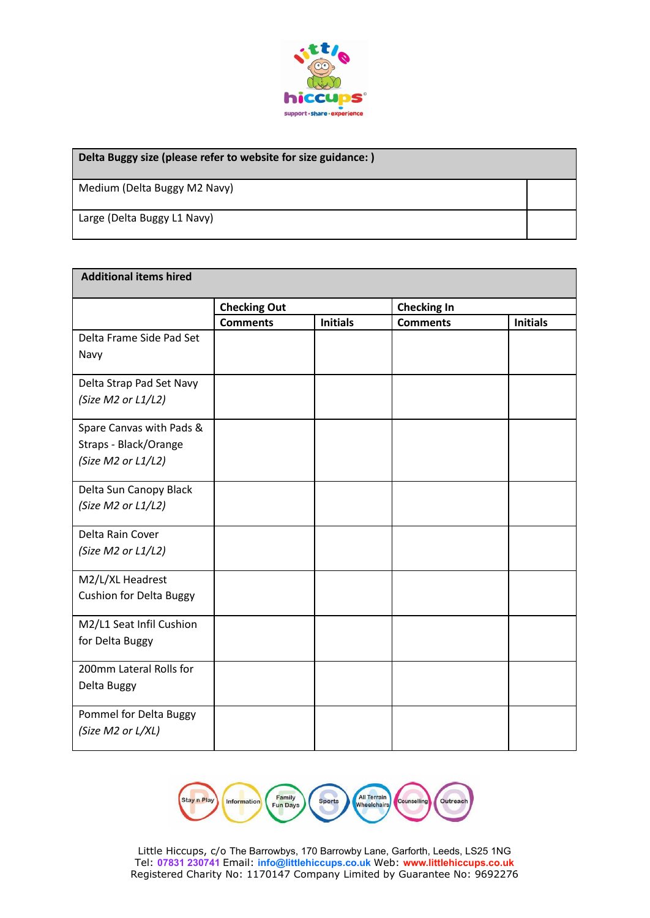

| Delta Buggy size (please refer to website for size guidance:) |  |  |  |
|---------------------------------------------------------------|--|--|--|
| Medium (Delta Buggy M2 Navy)                                  |  |  |  |
| Large (Delta Buggy L1 Navy)                                   |  |  |  |

| <b>Additional items hired</b>  |                     |                 |                    |                 |  |
|--------------------------------|---------------------|-----------------|--------------------|-----------------|--|
|                                | <b>Checking Out</b> |                 | <b>Checking In</b> |                 |  |
|                                | <b>Comments</b>     | <b>Initials</b> | <b>Comments</b>    | <b>Initials</b> |  |
| Delta Frame Side Pad Set       |                     |                 |                    |                 |  |
| Navy                           |                     |                 |                    |                 |  |
| Delta Strap Pad Set Navy       |                     |                 |                    |                 |  |
| (Size M2 or L1/L2)             |                     |                 |                    |                 |  |
| Spare Canvas with Pads &       |                     |                 |                    |                 |  |
| Straps - Black/Orange          |                     |                 |                    |                 |  |
| (Size M2 or L1/L2)             |                     |                 |                    |                 |  |
| Delta Sun Canopy Black         |                     |                 |                    |                 |  |
| (Size M2 or L1/L2)             |                     |                 |                    |                 |  |
| Delta Rain Cover               |                     |                 |                    |                 |  |
| (Size M2 or L1/L2)             |                     |                 |                    |                 |  |
| M2/L/XL Headrest               |                     |                 |                    |                 |  |
| <b>Cushion for Delta Buggy</b> |                     |                 |                    |                 |  |
| M2/L1 Seat Infil Cushion       |                     |                 |                    |                 |  |
| for Delta Buggy                |                     |                 |                    |                 |  |
| 200mm Lateral Rolls for        |                     |                 |                    |                 |  |
| Delta Buggy                    |                     |                 |                    |                 |  |
| Pommel for Delta Buggy         |                     |                 |                    |                 |  |
| (Size M2 or L/XL)              |                     |                 |                    |                 |  |

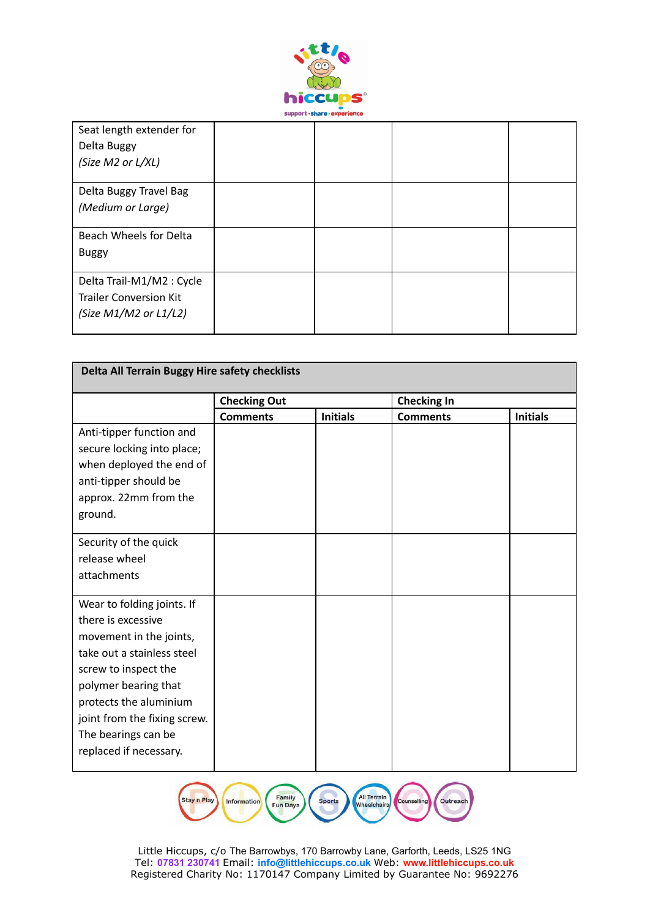

| Seat length extender for<br>Delta Buggy |  |  |
|-----------------------------------------|--|--|
| (Size M2 or L/XL)                       |  |  |
| Delta Buggy Travel Bag                  |  |  |
| (Medium or Large)                       |  |  |
| Beach Wheels for Delta                  |  |  |
| <b>Buggy</b>                            |  |  |
| Delta Trail-M1/M2 : Cycle               |  |  |
| <b>Trailer Conversion Kit</b>           |  |  |
| (Size $M1/M2$ or $L1/L2$ )              |  |  |

| Delta All Terrain Buggy Hire safety checklists                                                                                                                                                                                                                       |                     |                 |                    |                 |
|----------------------------------------------------------------------------------------------------------------------------------------------------------------------------------------------------------------------------------------------------------------------|---------------------|-----------------|--------------------|-----------------|
|                                                                                                                                                                                                                                                                      | <b>Checking Out</b> |                 | <b>Checking In</b> |                 |
|                                                                                                                                                                                                                                                                      | <b>Comments</b>     | <b>Initials</b> | <b>Comments</b>    | <b>Initials</b> |
| Anti-tipper function and<br>secure locking into place;<br>when deployed the end of<br>anti-tipper should be<br>approx. 22mm from the<br>ground.                                                                                                                      |                     |                 |                    |                 |
| Security of the quick<br>release wheel<br>attachments                                                                                                                                                                                                                |                     |                 |                    |                 |
| Wear to folding joints. If<br>there is excessive<br>movement in the joints,<br>take out a stainless steel<br>screw to inspect the<br>polymer bearing that<br>protects the aluminium<br>joint from the fixing screw.<br>The bearings can be<br>replaced if necessary. |                     |                 |                    |                 |

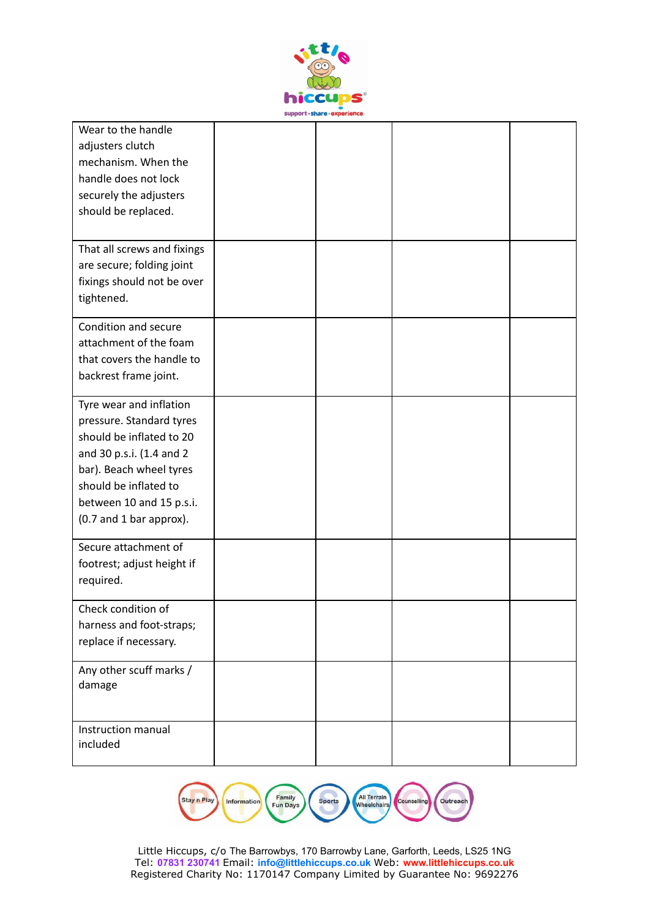

| Wear to the handle<br>adjusters clutch<br>mechanism. When the<br>handle does not lock<br>securely the adjusters<br>should be replaced.                                                                                 |  |  |
|------------------------------------------------------------------------------------------------------------------------------------------------------------------------------------------------------------------------|--|--|
| That all screws and fixings<br>are secure; folding joint<br>fixings should not be over<br>tightened.                                                                                                                   |  |  |
| Condition and secure<br>attachment of the foam<br>that covers the handle to<br>backrest frame joint.                                                                                                                   |  |  |
| Tyre wear and inflation<br>pressure. Standard tyres<br>should be inflated to 20<br>and 30 p.s.i. (1.4 and 2<br>bar). Beach wheel tyres<br>should be inflated to<br>between 10 and 15 p.s.i.<br>(0.7 and 1 bar approx). |  |  |
| Secure attachment of<br>footrest; adjust height if<br>required.                                                                                                                                                        |  |  |
| Check condition of<br>harness and foot-straps;<br>replace if necessary.                                                                                                                                                |  |  |
| Any other scuff marks /<br>damage                                                                                                                                                                                      |  |  |
| Instruction manual<br>included                                                                                                                                                                                         |  |  |

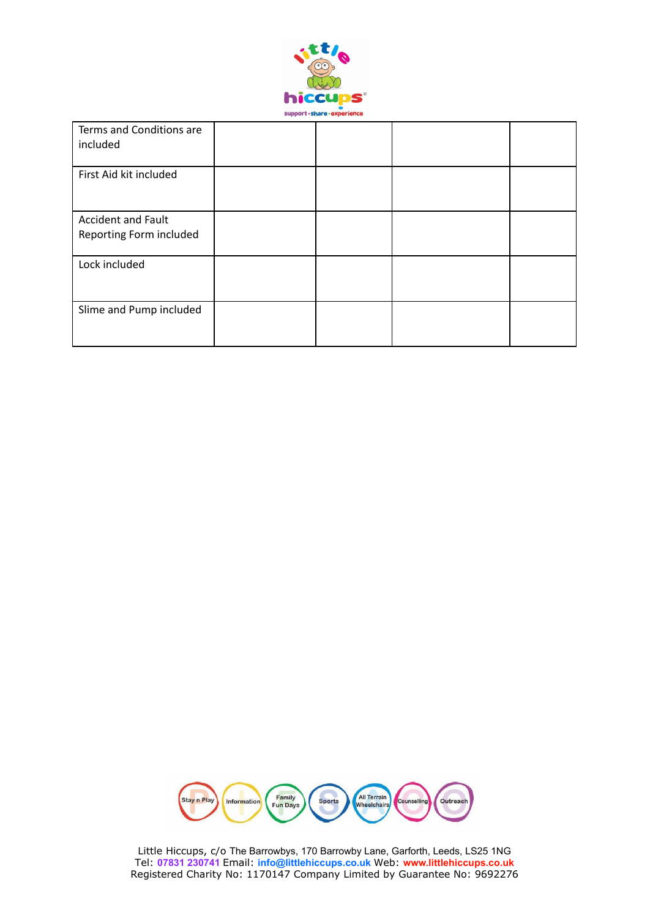

| Terms and Conditions are<br>included                 |  |  |
|------------------------------------------------------|--|--|
| First Aid kit included                               |  |  |
| <b>Accident and Fault</b><br>Reporting Form included |  |  |
| Lock included                                        |  |  |
| Slime and Pump included                              |  |  |